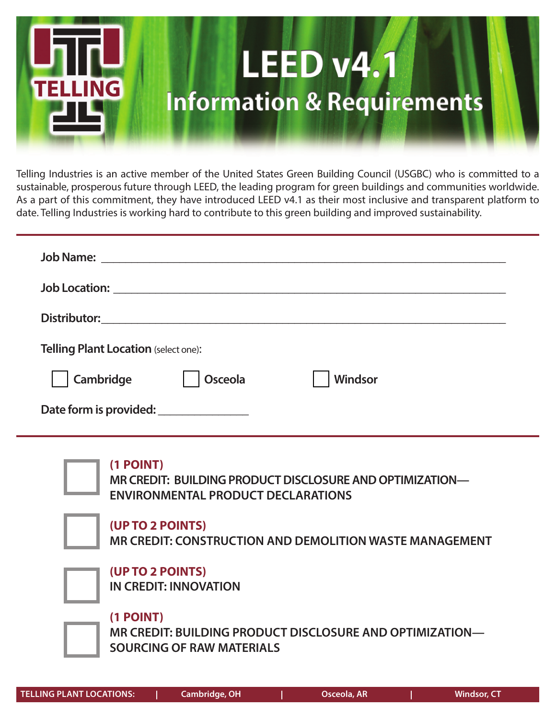

Telling Industries is an active member of the United States Green Building Council (USGBC) who is committed to a sustainable, prosperous future through LEED, the leading program for green buildings and communities worldwide. As a part of this commitment, they have introduced LEED v4.1 as their most inclusive and transparent platform to date. Telling Industries is working hard to contribute to this green building and improved sustainability.

| <b>Telling Plant Location (select one):</b> |                |
|---------------------------------------------|----------------|
| Cambridge<br>Osceola                        | <b>Windsor</b> |
| Date form is provided: _______________      |                |
|                                             |                |
| (1 POINT)                                   |                |

**MR CREDIT: BUILDING PRODUCT DISCLOSURE AND OPTIMIZATION— ENVIRONMENTAL PRODUCT DECLARATIONS**

### **(UP TO 2 POINTS)**

**MR CREDIT: CONSTRUCTION AND DEMOLITION WASTE MANAGEMENT**



**(UP TO 2 POINTS) IN CREDIT: INNOVATION**

## **(1 POINT)**

**MR CREDIT: BUILDING PRODUCT DISCLOSURE AND OPTIMIZATION— SOURCING OF RAW MATERIALS**